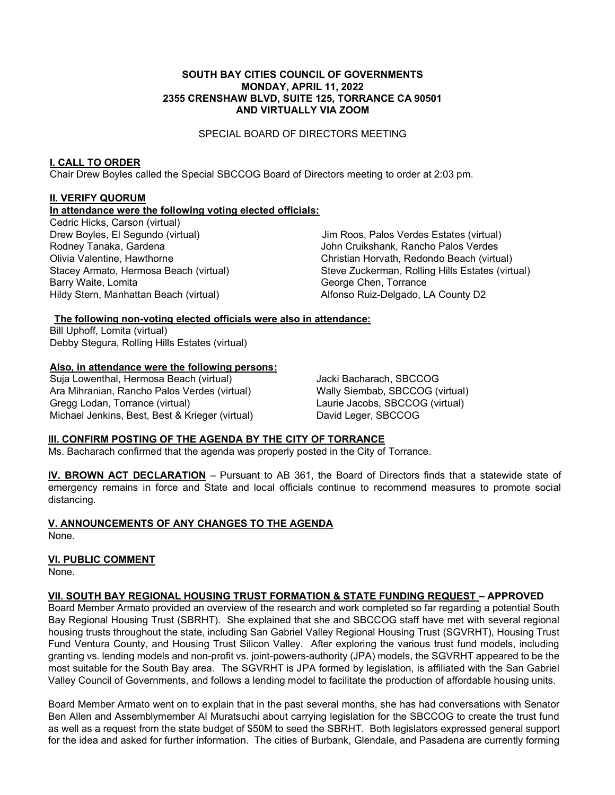#### **SOUTH BAY CITIES COUNCIL OF GOVERNMENTS MONDAY, APRIL 11, 2022 2355 CRENSHAW BLVD, SUITE 125, TORRANCE CA 90501 AND VIRTUALLY VIA ZOOM**

SPECIAL BOARD OF DIRECTORS MEETING

### **I. CALL TO ORDER**

Chair Drew Boyles called the Special SBCCOG Board of Directors meeting to order at 2:03 pm.

# **II. VERIFY QUORUM**

### **In attendance were the following voting elected officials:**

Cedric Hicks, Carson (virtual) Drew Boyles, El Segundo (virtual) Rodney Tanaka, Gardena Olivia Valentine, Hawthorne Stacey Armato, Hermosa Beach (virtual) Barry Waite, Lomita Hildy Stern, Manhattan Beach (virtual)

 Jim Roos, Palos Verdes Estates (virtual) John Cruikshank, Rancho Palos Verdes Christian Horvath, Redondo Beach (virtual) Steve Zuckerman, Rolling Hills Estates (virtual) George Chen, Torrance Alfonso Ruiz-Delgado, LA County D2

#### **The following non-voting elected officials were also in attendance:**

Bill Uphoff, Lomita (virtual) Debby Stegura, Rolling Hills Estates (virtual)

# **Also, in attendance were the following persons:**

Suja Lowenthal, Hermosa Beach (virtual) Ara Mihranian, Rancho Palos Verdes (virtual) Gregg Lodan, Torrance (virtual) Michael Jenkins, Best, Best & Krieger (virtual) Jacki Bacharach, SBCCOG Wally Siembab, SBCCOG (virtual) Laurie Jacobs, SBCCOG (virtual) David Leger, SBCCOG

### **III. CONFIRM POSTING OF THE AGENDA BY THE CITY OF TORRANCE**

Ms. Bacharach confirmed that the agenda was properly posted in the City of Torrance.

**IV. BROWN ACT DECLARATION** - Pursuant to AB 361, the Board of Directors finds that a statewide state of emergency remains in force and State and local officials continue to recommend measures to promote social distancing.

**V. ANNOUNCEMENTS OF ANY CHANGES TO THE AGENDA** None.

#### **VI. PUBLIC COMMENT**

None.

### **VII. SOUTH BAY REGIONAL HOUSING TRUST FORMATION & STATE FUNDING REQUEST - APPROVED**

Board Member Armato provided an overview of the research and work completed so far regarding a potential South Bay Regional Housing Trust (SBRHT). She explained that she and SBCCOG staff have met with several regional housing trusts throughout the state, including San Gabriel Valley Regional Housing Trust (SGVRHT), Housing Trust Fund Ventura County, and Housing Trust Silicon Valley. After exploring the various trust fund models, including granting vs. lending models and non-profit vs. joint-powers-authority (JPA) models, the SGVRHT appeared to be the most suitable for the South Bay area. The SGVRHT is JPA formed by legislation, is affiliated with the San Gabriel Valley Council of Governments, and follows a lending model to facilitate the production of affordable housing units.

Board Member Armato went on to explain that in the past several months, she has had conversations with Senator Ben Allen and Assemblymember Al Muratsuchi about carrying legislation for the SBCCOG to create the trust fund as well as a request from the state budget of \$50M to seed the SBRHT. Both legislators expressed general support for the idea and asked for further information. The cities of Burbank, Glendale, and Pasadena are currently forming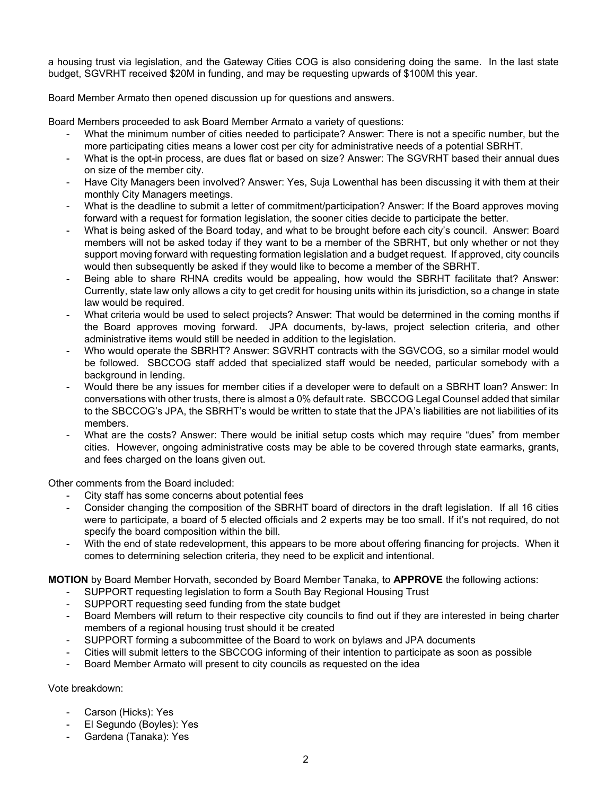a housing trust via legislation, and the Gateway Cities COG is also considering doing the same. In the last state budget, SGVRHT received \$20M in funding, and may be requesting upwards of \$100M this year.

Board Member Armato then opened discussion up for questions and answers.

Board Members proceeded to ask Board Member Armato a variety of questions:

- What the minimum number of cities needed to participate? Answer: There is not a specific number, but the more participating cities means a lower cost per city for administrative needs of a potential SBRHT.
- What is the opt-in process, are dues flat or based on size? Answer: The SGVRHT based their annual dues on size of the member city.
- Have City Managers been involved? Answer: Yes, Suja Lowenthal has been discussing it with them at their monthly City Managers meetings.
- What is the deadline to submit a letter of commitment/participation? Answer: If the Board approves moving forward with a request for formation legislation, the sooner cities decide to participate the better.
- What is being asked of the Board today, and what to be brought before each city's council. Answer: Board members will not be asked today if they want to be a member of the SBRHT, but only whether or not they support moving forward with requesting formation legislation and a budget request. If approved, city councils would then subsequently be asked if they would like to become a member of the SBRHT.
- Being able to share RHNA credits would be appealing, how would the SBRHT facilitate that? Answer: Currently, state law only allows a city to get credit for housing units within its jurisdiction, so a change in state law would be required.
- What criteria would be used to select projects? Answer: That would be determined in the coming months if the Board approves moving forward. JPA documents, by-laws, project selection criteria, and other administrative items would still be needed in addition to the legislation.
- Who would operate the SBRHT? Answer: SGVRHT contracts with the SGVCOG, so a similar model would be followed. SBCCOG staff added that specialized staff would be needed, particular somebody with a background in lending.
- Would there be any issues for member cities if a developer were to default on a SBRHT loan? Answer: In conversations with other trusts, there is almost a 0% default rate. SBCCOG Legal Counsel added that similar to the SBCCOG's JPA, the SBRHT's would be written to state that the JPA's liabilities are not liabilities of its members.
- What are the costs? Answer: There would be initial setup costs which may require "dues" from member cities. However, ongoing administrative costs may be able to be covered through state earmarks, grants, and fees charged on the loans given out.

Other comments from the Board included:

- City staff has some concerns about potential fees
- Consider changing the composition of the SBRHT board of directors in the draft legislation. If all 16 cities were to participate, a board of 5 elected officials and 2 experts may be too small. If it's not required, do not specify the board composition within the bill.
- With the end of state redevelopment, this appears to be more about offering financing for projects. When it comes to determining selection criteria, they need to be explicit and intentional.

**MOTION** by Board Member Horvath, seconded by Board Member Tanaka, to **APPROVE** the following actions:

- SUPPORT requesting legislation to form a South Bay Regional Housing Trust
- SUPPORT requesting seed funding from the state budget
- Board Members will return to their respective city councils to find out if they are interested in being charter members of a regional housing trust should it be created
- SUPPORT forming a subcommittee of the Board to work on bylaws and JPA documents
- Cities will submit letters to the SBCCOG informing of their intention to participate as soon as possible
- Board Member Armato will present to city councils as requested on the idea

Vote breakdown:

- Carson (Hicks): Yes
- El Segundo (Boyles): Yes
- Gardena (Tanaka): Yes